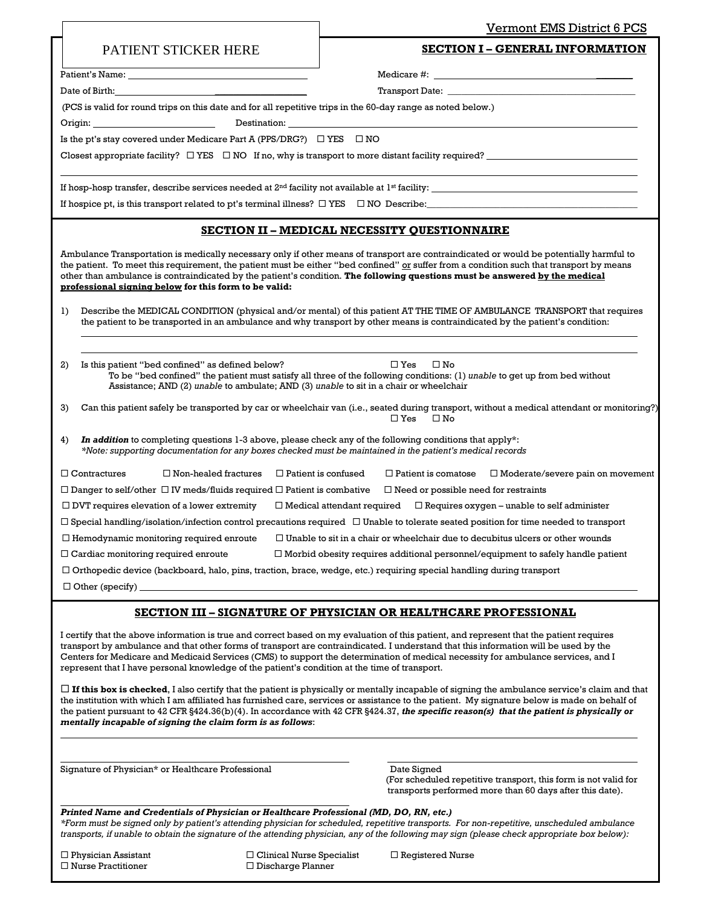|                                                                                                                                                                                                                               | Vermont EMS District 6 PCS                                                                                                                                                                                                                                                                                                                                                                                                                                                                                                                     |
|-------------------------------------------------------------------------------------------------------------------------------------------------------------------------------------------------------------------------------|------------------------------------------------------------------------------------------------------------------------------------------------------------------------------------------------------------------------------------------------------------------------------------------------------------------------------------------------------------------------------------------------------------------------------------------------------------------------------------------------------------------------------------------------|
| PATIENT STICKER HERE                                                                                                                                                                                                          | <b>SECTION I - GENERAL INFORMATION</b>                                                                                                                                                                                                                                                                                                                                                                                                                                                                                                         |
|                                                                                                                                                                                                                               |                                                                                                                                                                                                                                                                                                                                                                                                                                                                                                                                                |
| Date of Birth: 2008 and 2008 and 2008 and 2008 and 2008 and 2008 and 2008 and 2008 and 2008 and 2008 and 2008 and 2008 and 2008 and 2008 and 2008 and 2008 and 2008 and 2008 and 2008 and 2008 and 2008 and 2008 and 2008 and |                                                                                                                                                                                                                                                                                                                                                                                                                                                                                                                                                |
| (PCS is valid for round trips on this date and for all repetitive trips in the 60-day range as noted below.)                                                                                                                  |                                                                                                                                                                                                                                                                                                                                                                                                                                                                                                                                                |
|                                                                                                                                                                                                                               |                                                                                                                                                                                                                                                                                                                                                                                                                                                                                                                                                |
| Is the pt's stay covered under Medicare Part A (PPS/DRG?) $\Box$ YES $\Box$ NO                                                                                                                                                |                                                                                                                                                                                                                                                                                                                                                                                                                                                                                                                                                |
|                                                                                                                                                                                                                               | Closest appropriate facility? $\Box$ YES $\Box$ NO If no, why is transport to more distant facility required?                                                                                                                                                                                                                                                                                                                                                                                                                                  |
|                                                                                                                                                                                                                               | If hosp-hosp transfer, describe services needed at $2^{nd}$ facility not available at $1^{st}$ facility:                                                                                                                                                                                                                                                                                                                                                                                                                                       |
|                                                                                                                                                                                                                               | If hospice pt, is this transport related to pt's terminal illness? $\Box$ YES $\Box$ NO Describe:                                                                                                                                                                                                                                                                                                                                                                                                                                              |
|                                                                                                                                                                                                                               | SECTION II - MEDICAL NECESSITY QUESTIONNAIRE                                                                                                                                                                                                                                                                                                                                                                                                                                                                                                   |
| professional signing below for this form to be valid:<br>$_{1}$                                                                                                                                                               | Ambulance Transportation is medically necessary only if other means of transport are contraindicated or would be potentially harmful to<br>the patient. To meet this requirement, the patient must be either "bed confined" or suffer from a condition such that transport by means<br>other than ambulance is contraindicated by the patient's condition. The following questions must be answered by the medical<br>Describe the MEDICAL CONDITION (physical and/or mental) of this patient AT THE TIME OF AMBULANCE TRANSPORT that requires |
| 2)<br>Is this patient "bed confined" as defined below?                                                                                                                                                                        | the patient to be transported in an ambulance and why transport by other means is contraindicated by the patient's condition:<br>$\square$ Yes<br>$\square$ No                                                                                                                                                                                                                                                                                                                                                                                 |
| Assistance; AND (2) unable to ambulate; AND (3) unable to sit in a chair or wheelchair                                                                                                                                        | To be "bed confined" the patient must satisfy all three of the following conditions: (1) unable to get up from bed without                                                                                                                                                                                                                                                                                                                                                                                                                     |
| 3)                                                                                                                                                                                                                            | Can this patient safely be transported by car or wheelchair van (i.e., seated during transport, without a medical attendant or monitoring?)<br>$\square$ Yes<br>$\square$ No                                                                                                                                                                                                                                                                                                                                                                   |
| 4)                                                                                                                                                                                                                            | In addition to completing questions 1-3 above, please check any of the following conditions that apply*:<br>*Note: supporting documentation for any boxes checked must be maintained in the patient's medical records                                                                                                                                                                                                                                                                                                                          |
| $\Box$ Contractures<br>$\Box$ Non-healed fractures                                                                                                                                                                            | $\Box$ Patient is confused<br>$\Box$ Patient is comatose $\Box$ Moderate/severe pain on movement                                                                                                                                                                                                                                                                                                                                                                                                                                               |
|                                                                                                                                                                                                                               | $\Box$ Danger to self/other $\Box$ IV meds/fluids required $\Box$ Patient is combative $\Box$ Need or possible need for restraints                                                                                                                                                                                                                                                                                                                                                                                                             |
|                                                                                                                                                                                                                               | $\Box$ DVT requires elevation of a lower extremity $\Box$ Medical attendant required $\Box$ Requires oxygen – unable to self administer                                                                                                                                                                                                                                                                                                                                                                                                        |
|                                                                                                                                                                                                                               | $\Box$ Special handling/isolation/infection control precautions required $\Box$ Unable to tolerate seated position for time needed to transport                                                                                                                                                                                                                                                                                                                                                                                                |
|                                                                                                                                                                                                                               | $\Box$ Hemodynamic monitoring required enroute $\hfill\Box$ Unable to sit in a chair or wheelchair due to decubitus ulcers or other wounds                                                                                                                                                                                                                                                                                                                                                                                                     |
| $\Box$ Cardiac monitoring required enroute                                                                                                                                                                                    | $\Box$ Morbid obesity requires additional personnel/equipment to safely handle patient                                                                                                                                                                                                                                                                                                                                                                                                                                                         |
|                                                                                                                                                                                                                               | $\Box$ Orthopedic device (backboard, halo, pins, traction, brace, wedge, etc.) requiring special handling during transport                                                                                                                                                                                                                                                                                                                                                                                                                     |
|                                                                                                                                                                                                                               |                                                                                                                                                                                                                                                                                                                                                                                                                                                                                                                                                |
|                                                                                                                                                                                                                               | <b>SECTION III - SIGNATURE OF PHYSICIAN OR HEALTHCARE PROFESSIONAL</b>                                                                                                                                                                                                                                                                                                                                                                                                                                                                         |
| represent that I have personal knowledge of the patient's condition at the time of transport.                                                                                                                                 | I certify that the above information is true and correct based on my evaluation of this patient, and represent that the patient requires<br>transport by ambulance and that other forms of transport are contraindicated. I understand that this information will be used by the<br>Centers for Medicare and Medicaid Services (CMS) to support the determination of medical necessity for ambulance services, and I                                                                                                                           |
| mentally incapable of signing the claim form is as follows:                                                                                                                                                                   | $\Box$ If this box is checked, I also certify that the patient is physically or mentally incapable of signing the ambulance service's claim and that<br>the institution with which I am affiliated has furnished care, services or assistance to the patient. My signature below is made on behalf of<br>the patient pursuant to 42 CFR §424.36(b)(4). In accordance with 42 CFR §424.37, the specific reason(s) that the patient is physically or                                                                                             |
|                                                                                                                                                                                                                               |                                                                                                                                                                                                                                                                                                                                                                                                                                                                                                                                                |
| Signature of Physician* or Healthcare Professional                                                                                                                                                                            | Date Signed<br>(For scheduled repetitive transport, this form is not valid for<br>transports performed more than 60 days after this date).                                                                                                                                                                                                                                                                                                                                                                                                     |
| Printed Name and Credentials of Physician or Healthcare Professional (MD, DO, RN, etc.)                                                                                                                                       | *Form must be signed only by patient's attending physician for scheduled, repetitive transports. For non-repetitive, unscheduled ambulance<br>transports, if unable to obtain the signature of the attending physician, any of the following may sign (please check appropriate box below):                                                                                                                                                                                                                                                    |
| $\Box$ Physician Assistant<br>$\Box$ Nurse Practitioner<br>$\Box$ Discharge Planner                                                                                                                                           | $\Box$ Clinical Nurse Specialist<br>$\Box$ Registered Nurse                                                                                                                                                                                                                                                                                                                                                                                                                                                                                    |